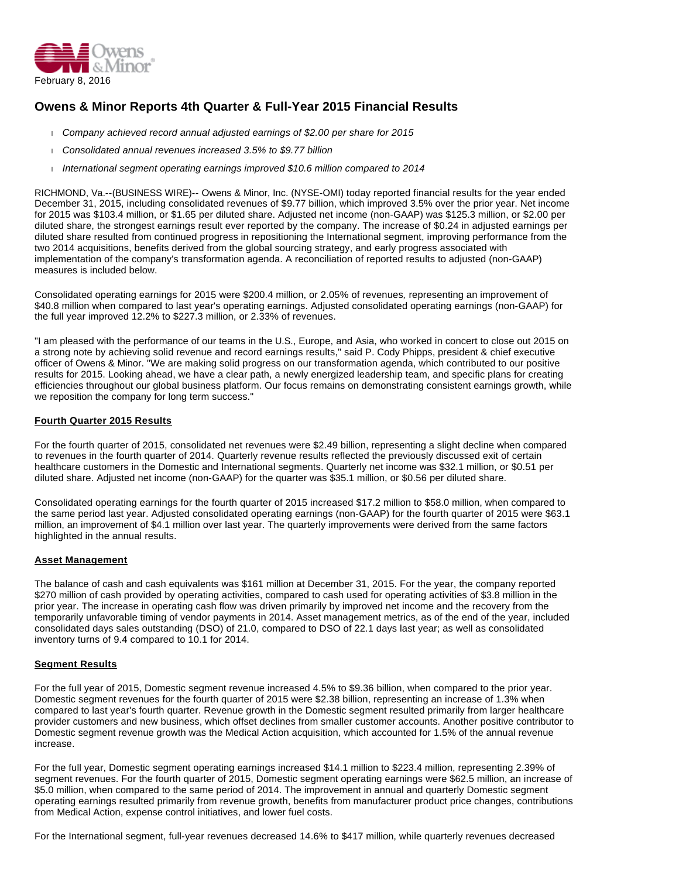

# **Owens & Minor Reports 4th Quarter & Full-Year 2015 Financial Results**

- Company achieved record annual adjusted earnings of \$2.00 per share for 2015
- Consolidated annual revenues increased 3.5% to \$9.77 billion
- International segment operating earnings improved \$10.6 million compared to 2014

RICHMOND, Va.--(BUSINESS WIRE)-- Owens & Minor, Inc. (NYSE-OMI) today reported financial results for the year ended December 31, 2015, including consolidated revenues of \$9.77 billion, which improved 3.5% over the prior year. Net income for 2015 was \$103.4 million, or \$1.65 per diluted share. Adjusted net income (non-GAAP) was \$125.3 million, or \$2.00 per diluted share, the strongest earnings result ever reported by the company. The increase of \$0.24 in adjusted earnings per diluted share resulted from continued progress in repositioning the International segment, improving performance from the two 2014 acquisitions, benefits derived from the global sourcing strategy, and early progress associated with implementation of the company's transformation agenda. A reconciliation of reported results to adjusted (non-GAAP) measures is included below.

Consolidated operating earnings for 2015 were \$200.4 million, or 2.05% of revenues, representing an improvement of \$40.8 million when compared to last year's operating earnings. Adjusted consolidated operating earnings (non-GAAP) for the full year improved 12.2% to \$227.3 million, or 2.33% of revenues.

"I am pleased with the performance of our teams in the U.S., Europe, and Asia, who worked in concert to close out 2015 on a strong note by achieving solid revenue and record earnings results," said P. Cody Phipps, president & chief executive officer of Owens & Minor. "We are making solid progress on our transformation agenda, which contributed to our positive results for 2015. Looking ahead, we have a clear path, a newly energized leadership team, and specific plans for creating efficiencies throughout our global business platform. Our focus remains on demonstrating consistent earnings growth, while we reposition the company for long term success."

## **Fourth Quarter 2015 Results**

For the fourth quarter of 2015, consolidated net revenues were \$2.49 billion, representing a slight decline when compared to revenues in the fourth quarter of 2014. Quarterly revenue results reflected the previously discussed exit of certain healthcare customers in the Domestic and International segments. Quarterly net income was \$32.1 million, or \$0.51 per diluted share. Adjusted net income (non-GAAP) for the quarter was \$35.1 million, or \$0.56 per diluted share.

Consolidated operating earnings for the fourth quarter of 2015 increased \$17.2 million to \$58.0 million, when compared to the same period last year. Adjusted consolidated operating earnings (non-GAAP) for the fourth quarter of 2015 were \$63.1 million, an improvement of \$4.1 million over last year. The quarterly improvements were derived from the same factors highlighted in the annual results.

### **Asset Management**

The balance of cash and cash equivalents was \$161 million at December 31, 2015. For the year, the company reported \$270 million of cash provided by operating activities, compared to cash used for operating activities of \$3.8 million in the prior year. The increase in operating cash flow was driven primarily by improved net income and the recovery from the temporarily unfavorable timing of vendor payments in 2014. Asset management metrics, as of the end of the year, included consolidated days sales outstanding (DSO) of 21.0, compared to DSO of 22.1 days last year; as well as consolidated inventory turns of 9.4 compared to 10.1 for 2014.

### **Segment Results**

For the full year of 2015, Domestic segment revenue increased 4.5% to \$9.36 billion, when compared to the prior year. Domestic segment revenues for the fourth quarter of 2015 were \$2.38 billion, representing an increase of 1.3% when compared to last year's fourth quarter. Revenue growth in the Domestic segment resulted primarily from larger healthcare provider customers and new business, which offset declines from smaller customer accounts. Another positive contributor to Domestic segment revenue growth was the Medical Action acquisition, which accounted for 1.5% of the annual revenue increase.

For the full year, Domestic segment operating earnings increased \$14.1 million to \$223.4 million, representing 2.39% of segment revenues. For the fourth quarter of 2015, Domestic segment operating earnings were \$62.5 million, an increase of \$5.0 million, when compared to the same period of 2014. The improvement in annual and quarterly Domestic segment operating earnings resulted primarily from revenue growth, benefits from manufacturer product price changes, contributions from Medical Action, expense control initiatives, and lower fuel costs.

For the International segment, full-year revenues decreased 14.6% to \$417 million, while quarterly revenues decreased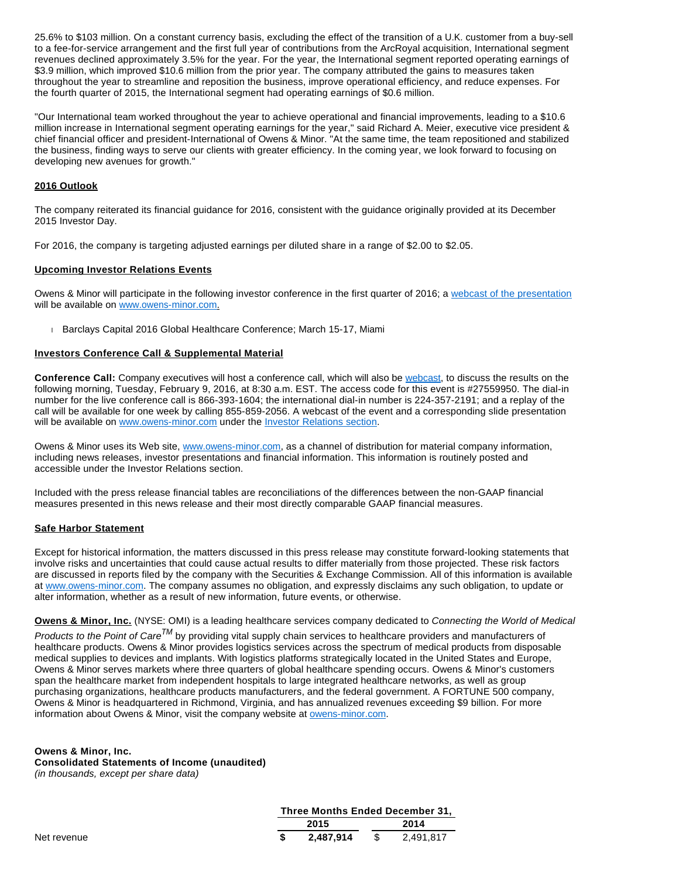25.6% to \$103 million. On a constant currency basis, excluding the effect of the transition of a U.K. customer from a buy-sell to a fee-for-service arrangement and the first full year of contributions from the ArcRoyal acquisition, International segment revenues declined approximately 3.5% for the year. For the year, the International segment reported operating earnings of \$3.9 million, which improved \$10.6 million from the prior year. The company attributed the gains to measures taken throughout the year to streamline and reposition the business, improve operational efficiency, and reduce expenses. For the fourth quarter of 2015, the International segment had operating earnings of \$0.6 million.

"Our International team worked throughout the year to achieve operational and financial improvements, leading to a \$10.6 million increase in International segment operating earnings for the year," said Richard A. Meier, executive vice president & chief financial officer and president-International of Owens & Minor. "At the same time, the team repositioned and stabilized the business, finding ways to serve our clients with greater efficiency. In the coming year, we look forward to focusing on developing new avenues for growth."

# **2016 Outlook**

The company reiterated its financial guidance for 2016, consistent with the guidance originally provided at its December 2015 Investor Day.

For 2016, the company is targeting adjusted earnings per diluted share in a range of \$2.00 to \$2.05.

# **Upcoming Investor Relations Events**

Owens & Minor will participate in the following investor conference in the first quarter of 2016; a [webcast of the presentation](http://cts.businesswire.com/ct/CT?id=smartlink&url=http%3A%2F%2Finvestors.owens-minor.com%2Fevents.cfm&esheet=51275390&newsitemid=20160208006389&lan=en-US&anchor=webcast+of+the+presentation&index=1&md5=8fad50b8366ab41621fe541b9d725164) will be available on [www.owens-minor.com.](http://cts.businesswire.com/ct/CT?id=smartlink&url=http%3A%2F%2Fwww.owens-minor.com&esheet=51275390&newsitemid=20160208006389&lan=en-US&anchor=www.owens-minor.com&index=2&md5=0f6054c55d758a3c9247ff9305e5c944)

Barclays Capital 2016 Global Healthcare Conference; March 15-17, Miami

# **Investors Conference Call & Supplemental Material**

**Conference Call:** Company executives will host a conference call, which will also be [webcast,](http://cts.businesswire.com/ct/CT?id=smartlink&url=http%3A%2F%2Finvestors.owens-minor.com%2Fevents.cfm&esheet=51275390&newsitemid=20160208006389&lan=en-US&anchor=webcast&index=3&md5=a7c13a562cb677854e4d6174469fd51e) to discuss the results on the following morning, Tuesday, February 9, 2016, at 8:30 a.m. EST. The access code for this event is #27559950. The dial-in number for the live conference call is 866-393-1604; the international dial-in number is 224-357-2191; and a replay of the call will be available for one week by calling 855-859-2056. A webcast of the event and a corresponding slide presentation will be available on [www.owens-minor.com](http://cts.businesswire.com/ct/CT?id=smartlink&url=http%3A%2F%2Fwww.owens-minor.com&esheet=51275390&newsitemid=20160208006389&lan=en-US&anchor=www.owens-minor.com&index=4&md5=1fca7be625b6a890eea476a33ca5904b) under the [Investor Relations section](http://cts.businesswire.com/ct/CT?id=smartlink&url=http%3A%2F%2Finvestors.owens-minor.com%2Fevents.cfm&esheet=51275390&newsitemid=20160208006389&lan=en-US&anchor=Investor+Relations+section&index=5&md5=b330d20766041a7cfed858c7f520fe7f).

Owens & Minor uses its Web site, [www.owens-minor.com](http://cts.businesswire.com/ct/CT?id=smartlink&url=http%3A%2F%2Fwww.owens-minor.com&esheet=51275390&newsitemid=20160208006389&lan=en-US&anchor=www.owens-minor.com&index=6&md5=a30d01ca50a76a2e7b8bafbfb6f43b42), as a channel of distribution for material company information, including news releases, investor presentations and financial information. This information is routinely posted and accessible under the Investor Relations section.

Included with the press release financial tables are reconciliations of the differences between the non-GAAP financial measures presented in this news release and their most directly comparable GAAP financial measures.

# **Safe Harbor Statement**

Except for historical information, the matters discussed in this press release may constitute forward-looking statements that involve risks and uncertainties that could cause actual results to differ materially from those projected. These risk factors are discussed in reports filed by the company with the Securities & Exchange Commission. All of this information is available at [www.owens-minor.com](http://cts.businesswire.com/ct/CT?id=smartlink&url=http%3A%2F%2Fwww.owens-minor.com&esheet=51275390&newsitemid=20160208006389&lan=en-US&anchor=www.owens-minor.com&index=7&md5=59e817708be532afc26135576bf56759). The company assumes no obligation, and expressly disclaims any such obligation, to update or alter information, whether as a result of new information, future events, or otherwise.

**Owens & Minor, Inc.** (NYSE: OMI) is a leading healthcare services company dedicated to Connecting the World of Medical

Products to the Point of Care<sup>TM</sup> by providing vital supply chain services to healthcare providers and manufacturers of healthcare products. Owens & Minor provides logistics services across the spectrum of medical products from disposable medical supplies to devices and implants. With logistics platforms strategically located in the United States and Europe, Owens & Minor serves markets where three quarters of global healthcare spending occurs. Owens & Minor's customers span the healthcare market from independent hospitals to large integrated healthcare networks, as well as group purchasing organizations, healthcare products manufacturers, and the federal government. A FORTUNE 500 company, Owens & Minor is headquartered in Richmond, Virginia, and has annualized revenues exceeding \$9 billion. For more information about Owens & Minor, visit the company website at [owens-minor.com](http://cts.businesswire.com/ct/CT?id=smartlink&url=http%3A%2F%2Fwww.owens-minor.com&esheet=51275390&newsitemid=20160208006389&lan=en-US&anchor=owens-minor.com&index=8&md5=e87eff03a4bb34eae5912972d7e502ad).

### **Owens & Minor, Inc. Consolidated Statements of Income (unaudited)** (in thousands, except per share data)

**Three Months Ended December 31, 2015 2014** Net revenue **\$ 2,487,914** \$ 2,491,817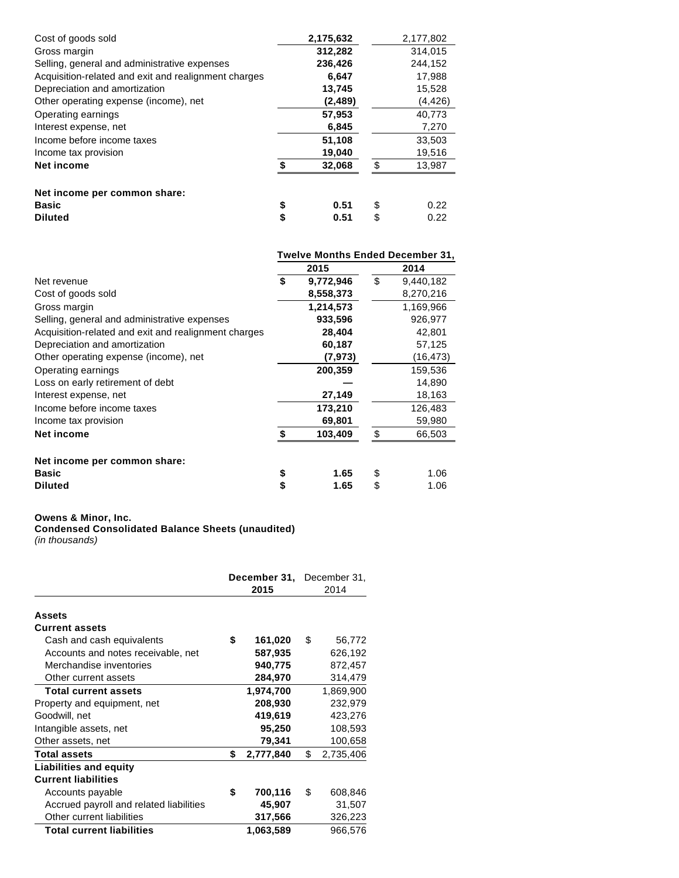| Cost of goods sold                                   | 2,175,632    |     | 2,177,802 |
|------------------------------------------------------|--------------|-----|-----------|
| Gross margin                                         | 312,282      |     | 314,015   |
| Selling, general and administrative expenses         | 236,426      |     | 244,152   |
| Acquisition-related and exit and realignment charges | 6,647        |     | 17,988    |
| Depreciation and amortization                        | 13,745       |     | 15,528    |
| Other operating expense (income), net                | (2, 489)     |     | (4,426)   |
| Operating earnings                                   | 57,953       |     | 40,773    |
| Interest expense, net                                | 6,845        |     | 7,270     |
| Income before income taxes                           | 51,108       |     | 33,503    |
| Income tax provision                                 | 19,040       |     | 19,516    |
| Net income                                           | \$<br>32,068 | \$. | 13,987    |
| Net income per common share:                         |              |     |           |
| Basic                                                | \$<br>0.51   | \$  | 0.22      |
| <b>Diluted</b>                                       | \$<br>0.51   | \$  | 0.22      |

|                                                      | Twelve Months Ended December 31, |                 |
|------------------------------------------------------|----------------------------------|-----------------|
|                                                      | 2015                             | 2014            |
| Net revenue                                          | \$<br>9,772,946                  | \$<br>9,440,182 |
| Cost of goods sold                                   | 8,558,373                        | 8,270,216       |
| Gross margin                                         | 1,214,573                        | 1,169,966       |
| Selling, general and administrative expenses         | 933,596                          | 926,977         |
| Acquisition-related and exit and realignment charges | 28,404                           | 42,801          |
| Depreciation and amortization                        | 60,187                           | 57,125          |
| Other operating expense (income), net                | (7, 973)                         | (16,473)        |
| Operating earnings                                   | 200,359                          | 159,536         |
| Loss on early retirement of debt                     |                                  | 14,890          |
| Interest expense, net                                | 27,149                           | 18,163          |
| Income before income taxes                           | 173,210                          | 126,483         |
| Income tax provision                                 | 69,801                           | 59,980          |
| <b>Net income</b>                                    | \$<br>103,409                    | \$<br>66,503    |
| Net income per common share:                         |                                  |                 |
| <b>Basic</b>                                         | \$<br>1.65                       | \$<br>1.06      |
| <b>Diluted</b>                                       | \$<br>1.65                       | \$<br>1.06      |

### **Owens & Minor, Inc.**

# **Condensed Consolidated Balance Sheets (unaudited)**

(in thousands)

|                                         | <b>December 31, December 31,</b><br>2015 | 2014            |
|-----------------------------------------|------------------------------------------|-----------------|
|                                         |                                          |                 |
| <b>Assets</b>                           |                                          |                 |
| <b>Current assets</b>                   |                                          |                 |
| Cash and cash equivalents               | \$<br>161,020                            | \$<br>56,772    |
| Accounts and notes receivable, net      | 587,935                                  | 626,192         |
| Merchandise inventories                 | 940,775                                  | 872,457         |
| Other current assets                    | 284,970                                  | 314,479         |
| <b>Total current assets</b>             | 1,974,700                                | 1,869,900       |
| Property and equipment, net             | 208,930                                  | 232,979         |
| Goodwill, net                           | 419,619                                  | 423,276         |
| Intangible assets, net                  | 95,250                                   | 108,593         |
| Other assets, net                       | 79,341                                   | 100,658         |
| <b>Total assets</b>                     | \$<br>2,777,840                          | \$<br>2,735,406 |
| Liabilities and equity                  |                                          |                 |
| <b>Current liabilities</b>              |                                          |                 |
| Accounts payable                        | \$<br>700,116                            | \$<br>608,846   |
| Accrued payroll and related liabilities | 45,907                                   | 31,507          |
| Other current liabilities               | 317,566                                  | 326,223         |
| <b>Total current liabilities</b>        | 1,063,589                                | 966,576         |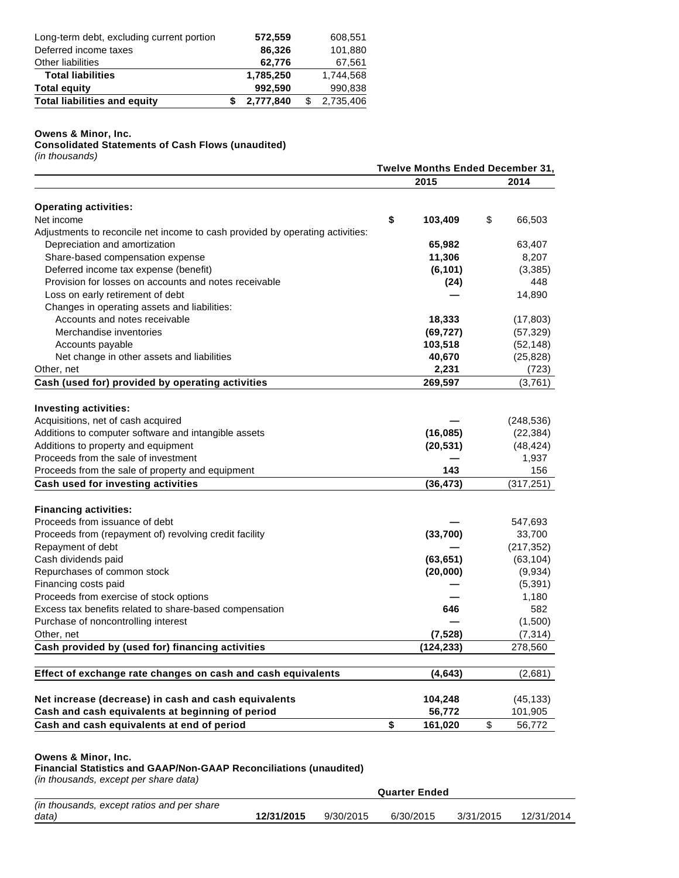| Long-term debt, excluding current portion | 572,559   | 608,551   |
|-------------------------------------------|-----------|-----------|
| Deferred income taxes                     | 86,326    | 101,880   |
| Other liabilities                         | 62.776    | 67,561    |
| <b>Total liabilities</b>                  | 1,785,250 | 1.744.568 |
| <b>Total equity</b>                       | 992.590   | 990,838   |
| <b>Total liabilities and equity</b>       | 2,777,840 | 2,735,406 |

# **Owens & Minor, Inc.**

**Consolidated Statements of Cash Flows (unaudited)**

(in thousands)

|                                                                               | <b>Twelve Months Ended December 31,</b> |           |    |            |  |
|-------------------------------------------------------------------------------|-----------------------------------------|-----------|----|------------|--|
|                                                                               |                                         | 2015      |    | 2014       |  |
| <b>Operating activities:</b>                                                  |                                         |           |    |            |  |
| Net income                                                                    | \$                                      | 103,409   | \$ | 66,503     |  |
| Adjustments to reconcile net income to cash provided by operating activities: |                                         |           |    |            |  |
| Depreciation and amortization                                                 |                                         | 65,982    |    | 63,407     |  |
| Share-based compensation expense                                              |                                         | 11,306    |    | 8,207      |  |
| Deferred income tax expense (benefit)                                         |                                         | (6, 101)  |    | (3,385)    |  |
| Provision for losses on accounts and notes receivable                         |                                         | (24)      |    | 448        |  |
| Loss on early retirement of debt                                              |                                         |           |    | 14,890     |  |
| Changes in operating assets and liabilities:                                  |                                         |           |    |            |  |
| Accounts and notes receivable                                                 |                                         | 18,333    |    | (17, 803)  |  |
| Merchandise inventories                                                       |                                         | (69, 727) |    | (57, 329)  |  |
| Accounts payable                                                              |                                         | 103,518   |    | (52, 148)  |  |
| Net change in other assets and liabilities                                    |                                         | 40,670    |    | (25, 828)  |  |
| Other, net                                                                    |                                         | 2,231     |    | (723)      |  |
| Cash (used for) provided by operating activities                              |                                         | 269,597   |    | (3,761)    |  |
|                                                                               |                                         |           |    |            |  |
| Investing activities:                                                         |                                         |           |    |            |  |
| Acquisitions, net of cash acquired                                            |                                         |           |    | (248, 536) |  |
| Additions to computer software and intangible assets                          |                                         | (16,085)  |    | (22, 384)  |  |
| Additions to property and equipment                                           |                                         | (20, 531) |    | (48, 424)  |  |
| Proceeds from the sale of investment                                          |                                         |           |    | 1,937      |  |
| Proceeds from the sale of property and equipment                              |                                         | 143       |    | 156        |  |
| Cash used for investing activities                                            |                                         | (36, 473) |    | (317, 251) |  |
| <b>Financing activities:</b>                                                  |                                         |           |    |            |  |
| Proceeds from issuance of debt                                                |                                         |           |    | 547,693    |  |
| Proceeds from (repayment of) revolving credit facility                        |                                         | (33,700)  |    | 33,700     |  |
| Repayment of debt                                                             |                                         |           |    | (217, 352) |  |
| Cash dividends paid                                                           |                                         | (63, 651) |    | (63, 104)  |  |
| Repurchases of common stock                                                   |                                         | (20,000)  |    | (9,934)    |  |
| Financing costs paid                                                          |                                         |           |    | (5, 391)   |  |
| Proceeds from exercise of stock options                                       |                                         |           |    | 1,180      |  |
| Excess tax benefits related to share-based compensation                       |                                         | 646       |    | 582        |  |
| Purchase of noncontrolling interest                                           |                                         |           |    | (1,500)    |  |
| Other, net                                                                    |                                         | (7, 528)  |    | (7, 314)   |  |
| Cash provided by (used for) financing activities                              |                                         | (124,233) |    | 278,560    |  |
| Effect of exchange rate changes on cash and cash equivalents                  |                                         |           |    | (2,681)    |  |
|                                                                               |                                         | (4, 643)  |    |            |  |
| Net increase (decrease) in cash and cash equivalents                          |                                         | 104,248   |    | (45, 133)  |  |
| Cash and cash equivalents at beginning of period                              |                                         | 56,772    |    | 101,905    |  |
| Cash and cash equivalents at end of period                                    | \$                                      | 161,020   | \$ | 56,772     |  |

# **Owens & Minor, Inc.**

#### **Financial Statistics and GAAP/Non-GAAP Reconciliations (unaudited)**

(in thousands, except per share data)

|                                             |            |           | <b>Quarter Ended</b> |           |            |
|---------------------------------------------|------------|-----------|----------------------|-----------|------------|
| (in thousands, except ratios and per share) |            |           |                      |           |            |
| data)                                       | 12/31/2015 | 9/30/2015 | 6/30/2015            | 3/31/2015 | 12/31/2014 |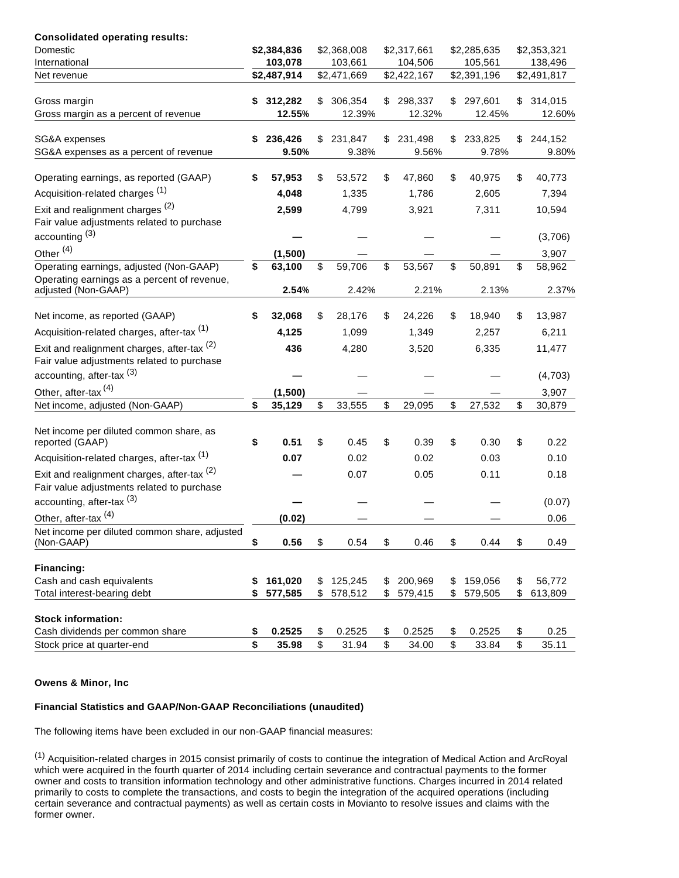| <b>Consolidated operating results:</b>        |             |             |             |             |    |             |               |             |             |  |  |  |
|-----------------------------------------------|-------------|-------------|-------------|-------------|----|-------------|---------------|-------------|-------------|--|--|--|
| Domestic                                      | \$2,384,836 |             | \$2,368,008 |             |    | \$2,317,661 | \$2,285,635   | \$2,353,321 |             |  |  |  |
| International                                 | 103,078     |             | 103,661     | 104,506     |    | 105,561     | 138,496       |             |             |  |  |  |
| Net revenue                                   |             | \$2,487,914 |             | \$2,471,669 |    | \$2,422,167 | \$2,391,196   |             | \$2,491,817 |  |  |  |
| Gross margin                                  | S           | 312,282     | \$          | 306,354     | \$ | 298,337     | \$<br>297,601 | \$          | 314,015     |  |  |  |
| Gross margin as a percent of revenue          |             | 12.55%      |             | 12.39%      |    | 12.32%      | 12.45%        |             | 12.60%      |  |  |  |
|                                               |             |             |             |             |    |             |               |             |             |  |  |  |
| SG&A expenses                                 |             | 236,426     | \$          | 231,847     | \$ | 231,498     | \$<br>233,825 | \$          | 244,152     |  |  |  |
| SG&A expenses as a percent of revenue         |             | 9.50%       |             | 9.38%       |    | 9.56%       | 9.78%         |             | 9.80%       |  |  |  |
|                                               |             |             |             |             |    |             |               |             |             |  |  |  |
| Operating earnings, as reported (GAAP)        | \$          | 57,953      | \$          | 53,572      | \$ | 47,860      | \$<br>40,975  | \$          | 40,773      |  |  |  |
| Acquisition-related charges (1)               |             | 4,048       |             | 1,335       |    | 1,786       | 2,605         |             | 7,394       |  |  |  |
| Exit and realignment charges <sup>(2)</sup>   |             | 2,599       |             | 4,799       |    | 3,921       | 7,311         |             | 10,594      |  |  |  |
| Fair value adjustments related to purchase    |             |             |             |             |    |             |               |             |             |  |  |  |
| accounting (3)                                |             |             |             |             |    |             |               |             | (3,706)     |  |  |  |
| Other <sup>(4)</sup>                          |             | (1,500)     |             |             |    |             |               |             | 3,907       |  |  |  |
| Operating earnings, adjusted (Non-GAAP)       | \$          | 63,100      | \$          | 59,706      | \$ | 53,567      | \$<br>50,891  | \$          | 58,962      |  |  |  |
| Operating earnings as a percent of revenue,   |             |             |             |             |    |             |               |             |             |  |  |  |
| adjusted (Non-GAAP)                           |             | 2.54%       |             | 2.42%       |    | 2.21%       | 2.13%         |             | 2.37%       |  |  |  |
|                                               |             |             |             |             |    |             |               |             |             |  |  |  |
| Net income, as reported (GAAP)                | S           | 32,068      | \$          | 28,176      | \$ | 24,226      | \$<br>18,940  | \$          | 13,987      |  |  |  |
| Acquisition-related charges, after-tax (1)    |             | 4,125       |             | 1,099       |    | 1,349       | 2,257         |             | 6,211       |  |  |  |
| Exit and realignment charges, after-tax (2)   |             | 436         |             | 4,280       |    | 3,520       | 6,335         |             | 11,477      |  |  |  |
| Fair value adjustments related to purchase    |             |             |             |             |    |             |               |             |             |  |  |  |
| accounting, after-tax (3)                     |             |             |             |             |    |             |               |             | (4,703)     |  |  |  |
| Other, after-tax <sup>(4)</sup>               |             | (1,500)     |             |             |    |             |               |             | 3,907       |  |  |  |
| Net income, adjusted (Non-GAAP)               | \$          | 35,129      | \$          | 33,555      | \$ | 29,095      | \$<br>27,532  | \$          | 30,879      |  |  |  |
|                                               |             |             |             |             |    |             |               |             |             |  |  |  |
| Net income per diluted common share, as       |             |             |             |             |    |             |               |             |             |  |  |  |
| reported (GAAP)                               | \$          | 0.51        | \$          | 0.45        | \$ | 0.39        | \$<br>0.30    | \$          | 0.22        |  |  |  |
| Acquisition-related charges, after-tax (1)    |             | 0.07        |             | 0.02        |    | 0.02        | 0.03          |             | 0.10        |  |  |  |
| Exit and realignment charges, after-tax (2)   |             |             |             | 0.07        |    | 0.05        | 0.11          |             | 0.18        |  |  |  |
| Fair value adjustments related to purchase    |             |             |             |             |    |             |               |             |             |  |  |  |
| accounting, after-tax (3)                     |             |             |             |             |    |             |               |             | (0.07)      |  |  |  |
| Other, after-tax <sup>(4)</sup>               |             | (0.02)      |             |             |    |             |               |             | 0.06        |  |  |  |
| Net income per diluted common share, adjusted |             |             |             |             |    |             |               |             |             |  |  |  |
| (Non-GAAP)                                    | \$          | 0.56        | \$          | 0.54        | \$ | 0.46        | \$<br>0.44    | \$          | 0.49        |  |  |  |
| Financing:                                    |             |             |             |             |    |             |               |             |             |  |  |  |
| Cash and cash equivalents                     | \$          | 161,020     | \$          | 125,245     | \$ | 200,969     | \$<br>159,056 | \$          | 56,772      |  |  |  |
| Total interest-bearing debt                   | \$          | 577,585     | \$          | 578,512     | \$ | 579,415     | \$<br>579,505 | \$          | 613,809     |  |  |  |
|                                               |             |             |             |             |    |             |               |             |             |  |  |  |
| <b>Stock information:</b>                     |             |             |             |             |    |             |               |             |             |  |  |  |
| Cash dividends per common share               | \$          | 0.2525      | \$          | 0.2525      | \$ | 0.2525      | \$<br>0.2525  | \$          | 0.25        |  |  |  |
| Stock price at quarter-end                    | \$          | 35.98       | \$          | 31.94       | \$ | 34.00       | \$<br>33.84   | \$          | 35.11       |  |  |  |

# **Owens & Minor, Inc**

# **Financial Statistics and GAAP/Non-GAAP Reconciliations (unaudited)**

The following items have been excluded in our non-GAAP financial measures:

 $<sup>(1)</sup>$  Acquisition-related charges in 2015 consist primarily of costs to continue the integration of Medical Action and ArcRoyal</sup> which were acquired in the fourth quarter of 2014 including certain severance and contractual payments to the former owner and costs to transition information technology and other administrative functions. Charges incurred in 2014 related primarily to costs to complete the transactions, and costs to begin the integration of the acquired operations (including certain severance and contractual payments) as well as certain costs in Movianto to resolve issues and claims with the former owner.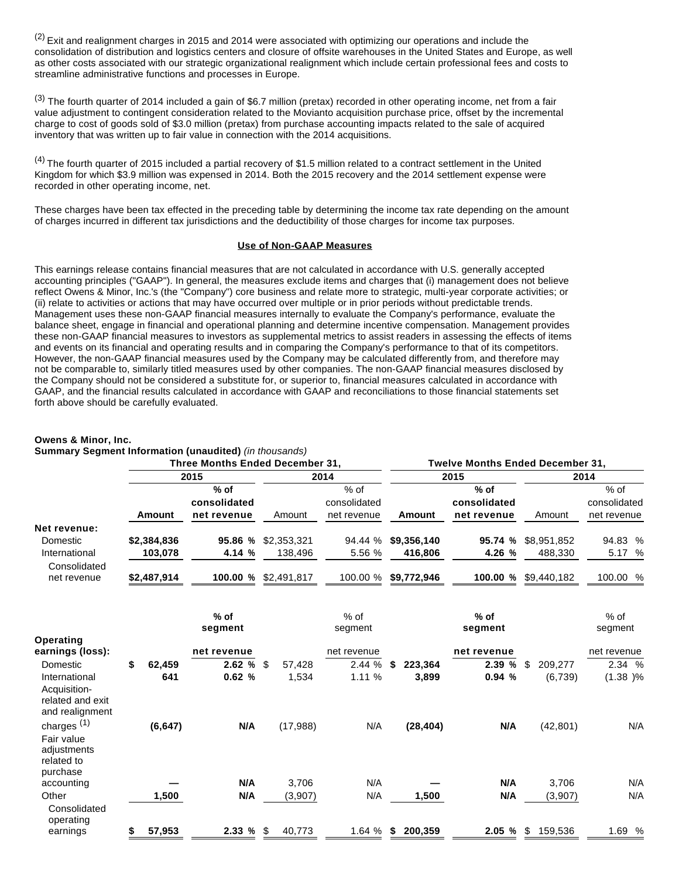$<sup>(2)</sup>$  Exit and realignment charges in 2015 and 2014 were associated with optimizing our operations and include the</sup> consolidation of distribution and logistics centers and closure of offsite warehouses in the United States and Europe, as well as other costs associated with our strategic organizational realignment which include certain professional fees and costs to streamline administrative functions and processes in Europe.

(3) The fourth quarter of 2014 included a gain of \$6.7 million (pretax) recorded in other operating income, net from a fair value adjustment to contingent consideration related to the Movianto acquisition purchase price, offset by the incremental charge to cost of goods sold of \$3.0 million (pretax) from purchase accounting impacts related to the sale of acquired inventory that was written up to fair value in connection with the 2014 acquisitions.

 $<sup>(4)</sup>$  The fourth quarter of 2015 included a partial recovery of \$1.5 million related to a contract settlement in the United</sup> Kingdom for which \$3.9 million was expensed in 2014. Both the 2015 recovery and the 2014 settlement expense were recorded in other operating income, net.

These charges have been tax effected in the preceding table by determining the income tax rate depending on the amount of charges incurred in different tax jurisdictions and the deductibility of those charges for income tax purposes.

## **Use of Non-GAAP Measures**

This earnings release contains financial measures that are not calculated in accordance with U.S. generally accepted accounting principles ("GAAP"). In general, the measures exclude items and charges that (i) management does not believe reflect Owens & Minor, Inc.'s (the "Company") core business and relate more to strategic, multi-year corporate activities; or (ii) relate to activities or actions that may have occurred over multiple or in prior periods without predictable trends. Management uses these non-GAAP financial measures internally to evaluate the Company's performance, evaluate the balance sheet, engage in financial and operational planning and determine incentive compensation. Management provides these non-GAAP financial measures to investors as supplemental metrics to assist readers in assessing the effects of items and events on its financial and operating results and in comparing the Company's performance to that of its competitors. However, the non-GAAP financial measures used by the Company may be calculated differently from, and therefore may not be comparable to, similarly titled measures used by other companies. The non-GAAP financial measures disclosed by the Company should not be considered a substitute for, or superior to, financial measures calculated in accordance with GAAP, and the financial results calculated in accordance with GAAP and reconciliations to those financial statements set forth above should be carefully evaluated.

|                                                     | $\alpha$ , and $\alpha$ , and $\alpha$ , and the contract of $\alpha$ , and $\alpha$ and $\alpha$ and $\alpha$ and $\alpha$ and $\alpha$ and $\alpha$ and $\alpha$ and $\alpha$ and $\alpha$ and $\alpha$ and $\alpha$ and $\alpha$ and $\alpha$ and $\alpha$ and $\alpha$ and $\alpha$ and $\alpha$ and $\alpha$ and<br>Three Months Ended December 31, |                        |                                       |      |                        |                                     | <b>Twelve Months Ended December 31,</b> |                        |                                       |          |                        |                                     |          |  |
|-----------------------------------------------------|----------------------------------------------------------------------------------------------------------------------------------------------------------------------------------------------------------------------------------------------------------------------------------------------------------------------------------------------------------|------------------------|---------------------------------------|------|------------------------|-------------------------------------|-----------------------------------------|------------------------|---------------------------------------|----------|------------------------|-------------------------------------|----------|--|
|                                                     |                                                                                                                                                                                                                                                                                                                                                          |                        | 2015                                  | 2014 |                        |                                     |                                         |                        | 2015                                  | 2014     |                        |                                     |          |  |
|                                                     |                                                                                                                                                                                                                                                                                                                                                          | <b>Amount</b>          | $%$ of<br>consolidated<br>net revenue |      | Amount                 | % of<br>consolidated<br>net revenue |                                         | Amount                 | $%$ of<br>consolidated<br>net revenue |          | Amount                 | % of<br>consolidated<br>net revenue |          |  |
| Net revenue:                                        |                                                                                                                                                                                                                                                                                                                                                          |                        |                                       |      |                        |                                     |                                         |                        |                                       |          |                        |                                     |          |  |
| Domestic<br>International                           |                                                                                                                                                                                                                                                                                                                                                          | \$2,384,836<br>103,078 | 95.86 %<br>4.14 %                     |      | \$2,353,321<br>138,496 | 94.44 %<br>5.56 %                   |                                         | \$9,356,140<br>416,806 | 95.74 %<br>4.26 %                     |          | \$8,951,852<br>488,330 | 94.83 %<br>5.17 %                   |          |  |
| net revenue                                         | Consolidated                                                                                                                                                                                                                                                                                                                                             |                        | \$2,487,914<br>100.00 %               |      |                        | \$2,491,817                         | 100.00 %                                |                        | \$9,772,946                           | 100.00 % |                        | \$9,440,182                         | 100.00 % |  |
|                                                     |                                                                                                                                                                                                                                                                                                                                                          |                        | $%$ of<br>segment                     |      |                        | $%$ of<br>segment                   |                                         |                        | $%$ of<br>segment                     |          |                        | $%$ of<br>segment                   |          |  |
| Operating                                           |                                                                                                                                                                                                                                                                                                                                                          |                        |                                       |      |                        |                                     |                                         |                        |                                       |          |                        |                                     |          |  |
| earnings (loss):                                    |                                                                                                                                                                                                                                                                                                                                                          |                        | net revenue                           |      |                        | net revenue                         |                                         |                        | net revenue                           |          |                        | net revenue                         |          |  |
| Domestic                                            | \$                                                                                                                                                                                                                                                                                                                                                       | 62,459                 | 2.62%                                 | \$   | 57,428                 | 2.44%                               | Ŝ.                                      | 223,364                | 2.39%                                 | \$       | 209,277                | 2.34 %                              |          |  |
| International<br>Acquisition-                       |                                                                                                                                                                                                                                                                                                                                                          | 641                    | 0.62%                                 |      | 1,534                  | 1.11 %                              |                                         | 3,899                  | 0.94%                                 |          | (6,739)                | (1.38)%                             |          |  |
| related and exit<br>and realignment                 |                                                                                                                                                                                                                                                                                                                                                          |                        |                                       |      |                        |                                     |                                         |                        |                                       |          |                        |                                     |          |  |
| charges <sup>(1)</sup>                              |                                                                                                                                                                                                                                                                                                                                                          | (6, 647)               | N/A                                   |      | (17,988)               | N/A                                 |                                         | (28, 404)              | N/A                                   |          | (42, 801)              | N/A                                 |          |  |
| Fair value<br>adjustments<br>related to<br>purchase |                                                                                                                                                                                                                                                                                                                                                          |                        |                                       |      |                        |                                     |                                         |                        |                                       |          |                        |                                     |          |  |
| accounting                                          |                                                                                                                                                                                                                                                                                                                                                          |                        | N/A                                   |      | 3,706                  | N/A                                 |                                         |                        | N/A                                   |          | 3,706                  | N/A                                 |          |  |
| Other                                               |                                                                                                                                                                                                                                                                                                                                                          | 1,500                  | N/A                                   |      | (3, 907)               | N/A                                 |                                         | 1,500                  | N/A                                   |          | (3,907)                | N/A                                 |          |  |
| Consolidated<br>operating                           |                                                                                                                                                                                                                                                                                                                                                          |                        |                                       |      |                        |                                     |                                         |                        |                                       |          |                        |                                     |          |  |
| earnings                                            |                                                                                                                                                                                                                                                                                                                                                          | 57,953                 | 2.33%                                 | \$   | 40.773                 | 1.64 %                              | S                                       | 200,359                | 2.05%                                 | S        | 159.536                | 1.69 %                              |          |  |
|                                                     |                                                                                                                                                                                                                                                                                                                                                          |                        |                                       |      |                        |                                     |                                         |                        |                                       |          |                        |                                     |          |  |

### **Owens & Minor, Inc.**

## **Summary Segment Information (unaudited)** (in thousands)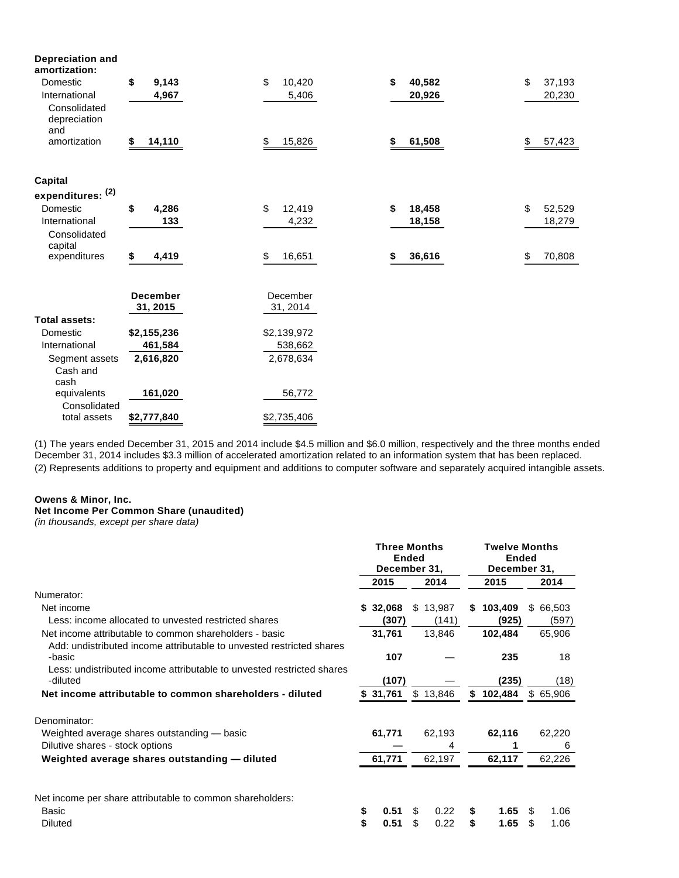| Depreciation and<br>amortization:                   |                 |              |              |              |
|-----------------------------------------------------|-----------------|--------------|--------------|--------------|
| Domestic                                            | \$<br>9,143     | \$<br>10,420 | \$<br>40,582 | \$<br>37,193 |
| International                                       | 4,967           | 5,406        | 20,926       | 20,230       |
| Consolidated<br>depreciation<br>and<br>amortization | 14,110<br>\$    | 15,826<br>\$ | 61,508<br>\$ | \$<br>57,423 |
| Capital                                             |                 |              |              |              |
| expenditures: (2)                                   |                 |              |              |              |
| Domestic                                            | 4,286<br>\$     | \$<br>12,419 | \$<br>18,458 | \$<br>52,529 |
| International                                       | 133             | 4,232        | 18,158       | 18,279       |
| Consolidated<br>capital                             |                 |              |              |              |
| expenditures                                        | 4,419<br>\$     | \$<br>16,651 | 36,616<br>\$ | \$<br>70,808 |
|                                                     | <b>December</b> | December     |              |              |
|                                                     | 31, 2015        | 31, 2014     |              |              |
| Total assets:                                       |                 |              |              |              |
| Domestic                                            | \$2,155,236     | \$2,139,972  |              |              |
| International                                       | 461,584         | 538,662      |              |              |
| Segment assets                                      | 2,616,820       | 2,678,634    |              |              |
| Cash and<br>cash                                    |                 |              |              |              |
| equivalents                                         | 161,020         | 56,772       |              |              |
| Consolidated<br>total assets                        | \$2,777,840     | \$2,735,406  |              |              |

(1) The years ended December 31, 2015 and 2014 include \$4.5 million and \$6.0 million, respectively and the three months ended December 31, 2014 includes \$3.3 million of accelerated amortization related to an information system that has been replaced. (2) Represents additions to property and equipment and additions to computer software and separately acquired intangible assets.

# **Owens & Minor, Inc.**

**Net Income Per Common Share (unaudited)**

(in thousands, except per share data)

|                                                                                   | <b>Three Months</b><br><b>Ended</b><br>December 31, |          |    |          | <b>Twelve Months</b><br><b>Ended</b><br>December 31, |           |      |          |
|-----------------------------------------------------------------------------------|-----------------------------------------------------|----------|----|----------|------------------------------------------------------|-----------|------|----------|
|                                                                                   |                                                     | 2015     |    | 2014     |                                                      | 2015      |      | 2014     |
| Numerator:                                                                        |                                                     |          |    |          |                                                      |           |      |          |
| Net income                                                                        | S.                                                  | 32,068   |    | \$13,987 | S.                                                   | 103,409   |      | \$66,503 |
| Less: income allocated to unvested restricted shares                              |                                                     | (307)    |    | (141)    |                                                      | (925)     |      | (597)    |
| Net income attributable to common shareholders - basic                            |                                                     | 31,761   |    | 13,846   |                                                      | 102,484   |      | 65,906   |
| Add: undistributed income attributable to unvested restricted shares<br>-basic    |                                                     | 107      |    |          |                                                      | 235       |      | 18       |
| Less: undistributed income attributable to unvested restricted shares<br>-diluted |                                                     | (107)    |    |          |                                                      | (235)     |      | (18)     |
| Net income attributable to common shareholders - diluted                          |                                                     | \$31,761 |    | \$13,846 |                                                      | \$102,484 |      | \$65,906 |
| Denominator:<br>Weighted average shares outstanding — basic                       |                                                     | 61,771   |    | 62,193   |                                                      | 62,116    |      | 62,220   |
| Dilutive shares - stock options                                                   |                                                     |          |    | 4        |                                                      |           |      | 6        |
| Weighted average shares outstanding - diluted                                     |                                                     | 61,771   |    | 62,197   |                                                      | 62,117    |      | 62,226   |
| Net income per share attributable to common shareholders:<br>Basic                | \$                                                  | 0.51     | S  | 0.22     | S                                                    | 1.65      | - \$ | 1.06     |
| <b>Diluted</b>                                                                    | \$                                                  | 0.51     | \$ | 0.22     | \$                                                   | 1.65      | \$   | 1.06     |